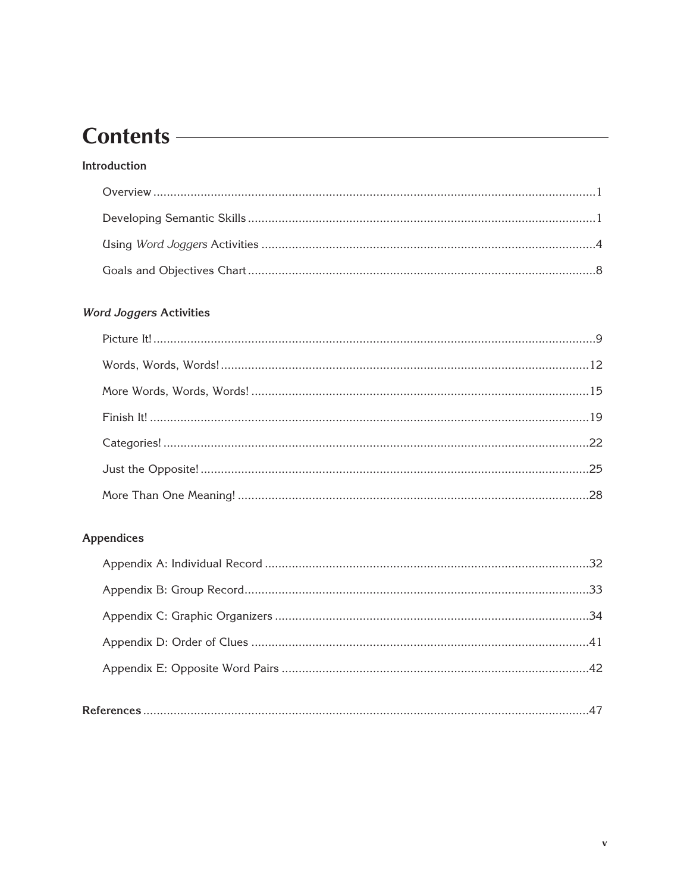# Contents <u>example</u> and the contents of the contents of the contents of the content of the content of the content of the content of the content of the content of the content of the content of the content of the content of t

#### Introduction

#### **Word Joggers Activities**

#### Appendices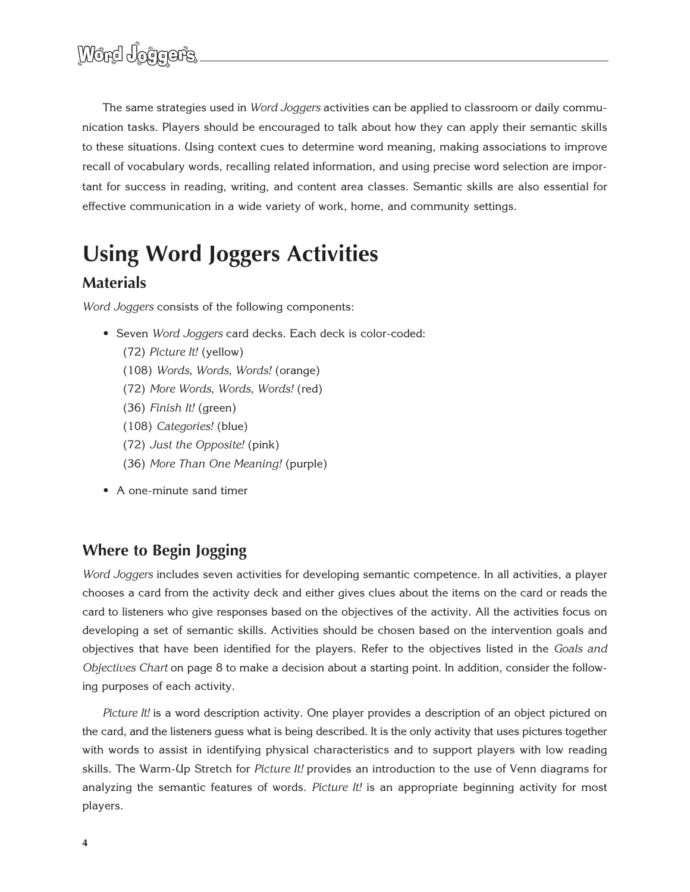The same strategies used in *Word Joggers* activities can be applied to classroom or daily communication tasks. Players should be encouraged to talk about how they can apply their semantic skills to these situations. Using context cues to determine word meaning, making associations to improve recall of vocabulary words, recalling related information, and using precise word selection are important for success in reading, writing, and content area classes. Semantic skills are also essential for effective communication in a wide variety of work, home, and community settings.

# **Using Word Joggers Activities**

# **Materials**

*Word Joggers* consists of the following components:

- Seven *Word Joggers* card decks. Each deck is color-coded:
	- (72) *Picture It!* (yellow)
	- (108) *Words, Words, Words!* (orange)
	- (72) *More Words, Words, Words!* (red)
	- (36) *Finish It!* (green)
	- (108) *Categories!* (blue)
	- (72) *Just the Opposite!* (pink)
	- (36) *More Than One Meaning!* (purple)
- A one-minute sand timer

# **Where to Begin Jogging**

*Word Joggers* includes seven activities for developing semantic competence. In all activities, a player chooses a card from the activity deck and either gives clues about the items on the card or reads the card to listeners who give responses based on the objectives of the activity. All the activities focus on developing a set of semantic skills. Activities should be chosen based on the intervention goals and objectives that have been identified for the players. Refer to the objectives listed in the *Goals and Objectives Chart* on page 8 to make a decision about a starting point. In addition, consider the following purposes of each activity.

*Picture It!* is a word description activity. One player provides a description of an object pictured on the card, and the listeners guess what is being described. It is the only activity that uses pictures together with words to assist in identifying physical characteristics and to support players with low reading skills. The Warm-Up Stretch for *Picture It!* provides an introduction to the use of Venn diagrams for analyzing the semantic features of words. *Picture It!* is an appropriate beginning activity for most players.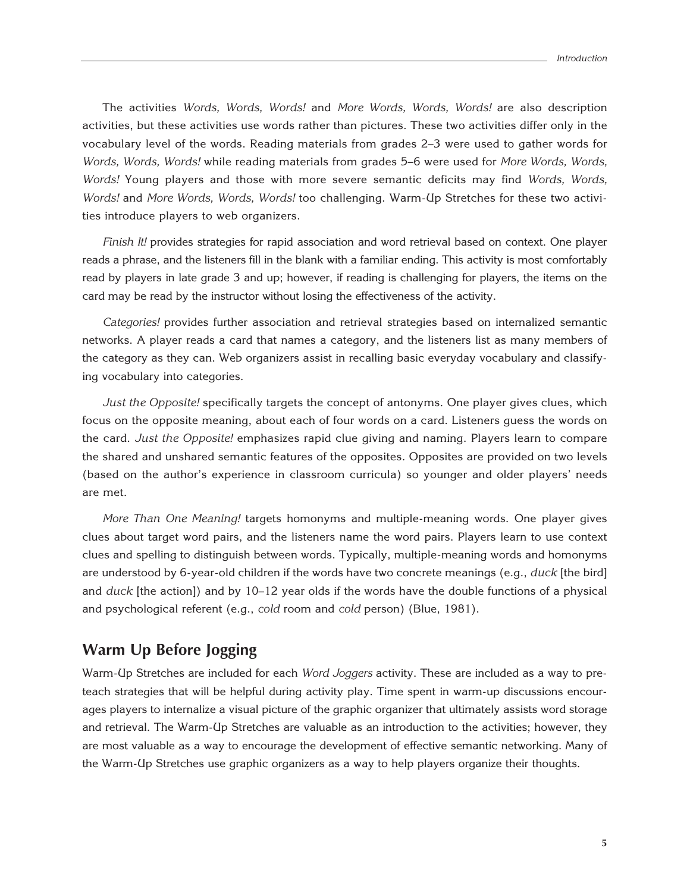The activities *Words, Words, Words!* and *More Words, Words, Words!* are also description activities, but these activities use words rather than pictures. These two activities differ only in the vocabulary level of the words. Reading materials from grades 2–3 were used to gather words for *Words, Words, Words!* while reading materials from grades 5–6 were used for *More Words, Words, Words!* Young players and those with more severe semantic deficits may find *Words, Words, Words!* and *More Words, Words, Words!* too challenging. Warm-Up Stretches for these two activities introduce players to web organizers.

*Finish It!* provides strategies for rapid association and word retrieval based on context. One player reads a phrase, and the listeners fill in the blank with a familiar ending. This activity is most comfortably read by players in late grade 3 and up; however, if reading is challenging for players, the items on the card may be read by the instructor without losing the effectiveness of the activity.

*Categories!* provides further association and retrieval strategies based on internalized semantic networks. A player reads a card that names a category, and the listeners list as many members of the category as they can. Web organizers assist in recalling basic everyday vocabulary and classifying vocabulary into categories.

*Just the Opposite!* specifically targets the concept of antonyms. One player gives clues, which focus on the opposite meaning, about each of four words on a card. Listeners guess the words on the card. *Just the Opposite!* emphasizes rapid clue giving and naming. Players learn to compare the shared and unshared semantic features of the opposites. Opposites are provided on two levels (based on the author's experience in classroom curricula) so younger and older players' needs are met.

*More Than One Meaning!* targets homonyms and multiple-meaning words. One player gives clues about target word pairs, and the listeners name the word pairs. Players learn to use context clues and spelling to distinguish between words. Typically, multiple-meaning words and homonyms are understood by 6-year-old children if the words have two concrete meanings (e.g., *duck* [the bird] and *duck* [the action]) and by 10–12 year olds if the words have the double functions of a physical and psychological referent (e.g., *cold* room and *cold* person) (Blue, 1981).

# **Warm Up Before Jogging**

Warm-Up Stretches are included for each *Word Joggers* activity. These are included as a way to preteach strategies that will be helpful during activity play. Time spent in warm-up discussions encourages players to internalize a visual picture of the graphic organizer that ultimately assists word storage and retrieval. The Warm-Up Stretches are valuable as an introduction to the activities; however, they are most valuable as a way to encourage the development of effective semantic networking. Many of the Warm-Up Stretches use graphic organizers as a way to help players organize their thoughts.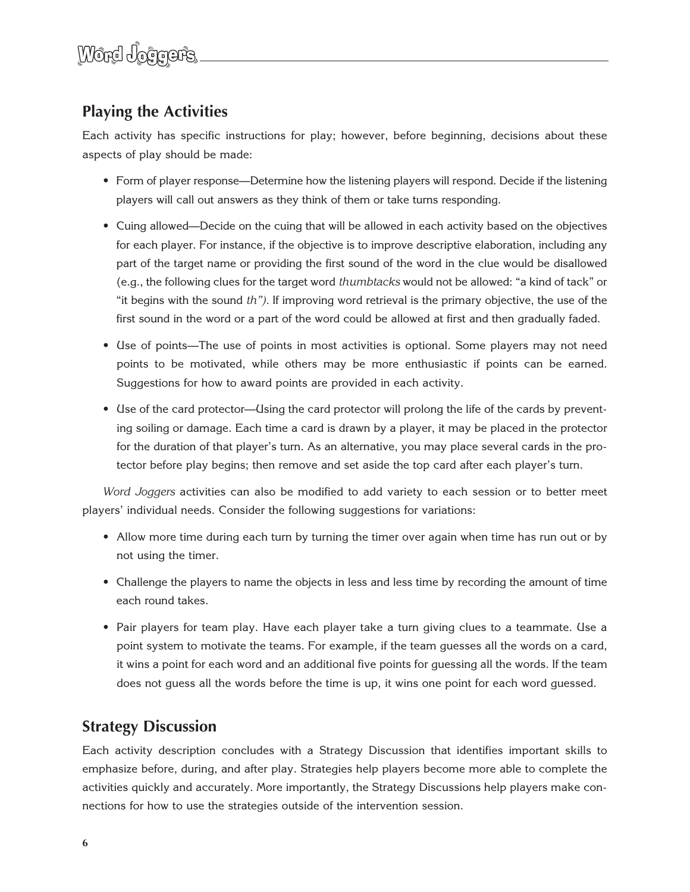# **Playing the Activities**

Each activity has specific instructions for play; however, before beginning, decisions about these aspects of play should be made:

- Form of player response—Determine how the listening players will respond. Decide if the listening players will call out answers as they think of them or take turns responding.
- Cuing allowed—Decide on the cuing that will be allowed in each activity based on the objectives for each player. For instance, if the objective is to improve descriptive elaboration, including any part of the target name or providing the first sound of the word in the clue would be disallowed (e.g., the following clues for the target word *thumbtacks* would not be allowed: "a kind of tack" or "it begins with the sound *th").* If improving word retrieval is the primary objective, the use of the first sound in the word or a part of the word could be allowed at first and then gradually faded.
- Use of points—The use of points in most activities is optional. Some players may not need points to be motivated, while others may be more enthusiastic if points can be earned. Suggestions for how to award points are provided in each activity.
- Use of the card protector—Using the card protector will prolong the life of the cards by preventing soiling or damage. Each time a card is drawn by a player, it may be placed in the protector for the duration of that player's turn. As an alternative, you may place several cards in the protector before play begins; then remove and set aside the top card after each player's turn.

*Word Joggers* activities can also be modified to add variety to each session or to better meet players' individual needs. Consider the following suggestions for variations:

- Allow more time during each turn by turning the timer over again when time has run out or by not using the timer.
- Challenge the players to name the objects in less and less time by recording the amount of time each round takes.
- Pair players for team play. Have each player take a turn giving clues to a teammate. Use a point system to motivate the teams. For example, if the team guesses all the words on a card, it wins a point for each word and an additional five points for guessing all the words. If the team does not guess all the words before the time is up, it wins one point for each word guessed.

# **Strategy Discussion**

Each activity description concludes with a Strategy Discussion that identifies important skills to emphasize before, during, and after play. Strategies help players become more able to complete the activities quickly and accurately. More importantly, the Strategy Discussions help players make connections for how to use the strategies outside of the intervention session.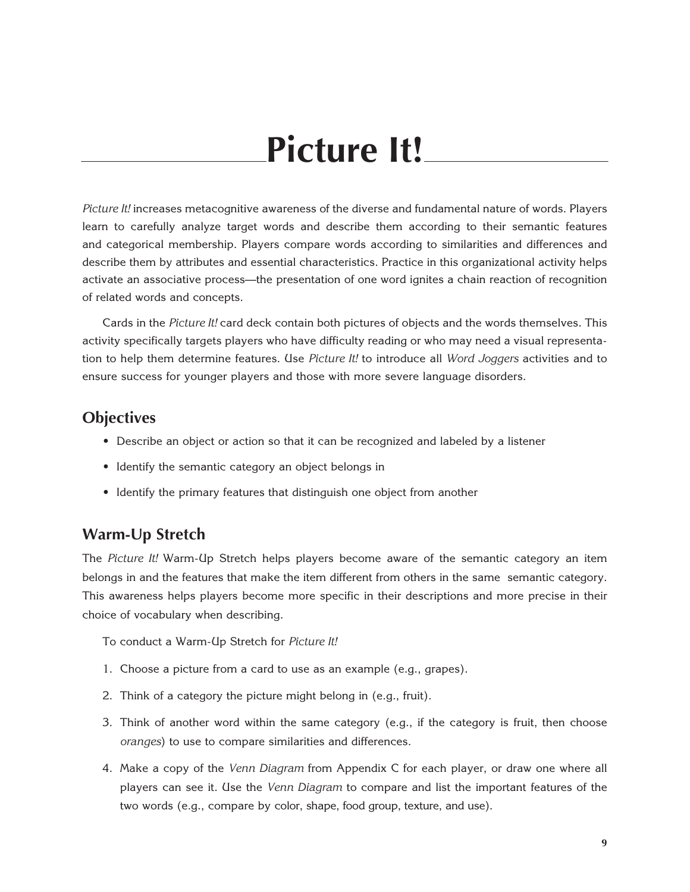# **Picture It!**

*Picture It!* increases metacognitive awareness of the diverse and fundamental nature of words. Players learn to carefully analyze target words and describe them according to their semantic features and categorical membership. Players compare words according to similarities and differences and describe them by attributes and essential characteristics. Practice in this organizational activity helps activate an associative process—the presentation of one word ignites a chain reaction of recognition of related words and concepts.

Cards in the *Picture It!* card deck contain both pictures of objects and the words themselves. This activity specifically targets players who have difficulty reading or who may need a visual representation to help them determine features. Use *Picture It!* to introduce all *Word Joggers* activities and to ensure success for younger players and those with more severe language disorders.

### **Objectives**

- Describe an object or action so that it can be recognized and labeled by a listener
- Identify the semantic category an object belongs in
- Identify the primary features that distinguish one object from another

# **Warm-Up Stretch**

The *Picture It!* Warm-Up Stretch helps players become aware of the semantic category an item belongs in and the features that make the item different from others in the same semantic category. This awareness helps players become more specific in their descriptions and more precise in their choice of vocabulary when describing.

To conduct a Warm-Up Stretch for *Picture It!*

- 1. Choose a picture from a card to use as an example (e.g., grapes).
- 2. Think of a category the picture might belong in (e.g., fruit).
- 3. Think of another word within the same category (e.g., if the category is fruit, then choose *oranges*) to use to compare similarities and differences.
- 4. Make a copy of the *Venn Diagram* from Appendix C for each player, or draw one where all players can see it. Use the *Venn Diagram* to compare and list the important features of the two words (e.g., compare by color, shape, food group, texture, and use).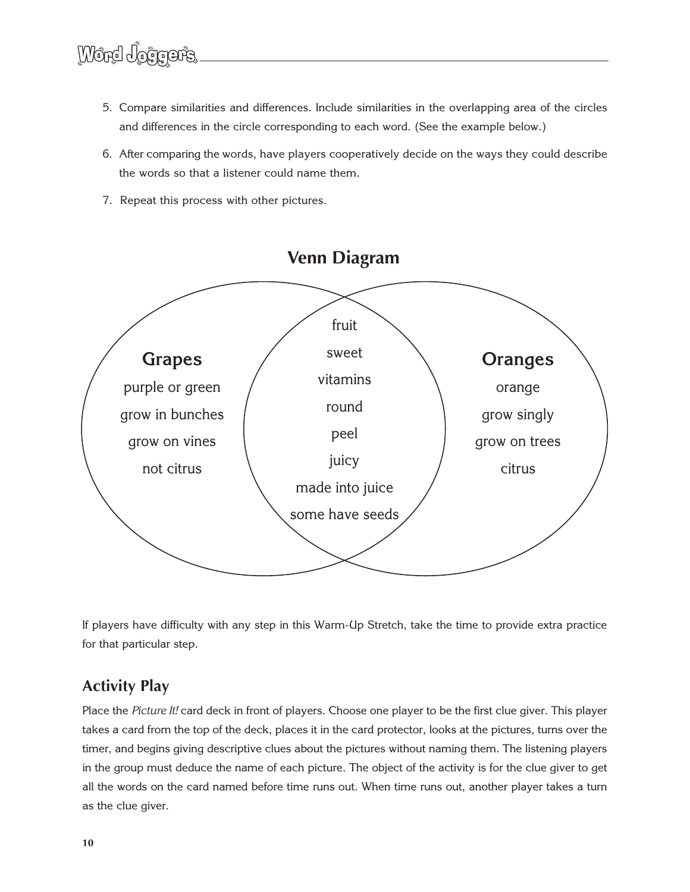- 5. Compare similarities and differences. Include similarities in the overlapping area of the circles and differences in the circle corresponding to each word. (See the example below.)
- 6. After comparing the words, have players cooperatively decide on the ways they could describe the words so that a listener could name them.
- 7. Repeat this process with other pictures.



If players have difficulty with any step in this Warm-Up Stretch, take the time to provide extra practice for that particular step.

# **Activity Play**

Place the *Picture It!* card deck in front of players. Choose one player to be the first clue giver. This player takes a card from the top of the deck, places it in the card protector, looks at the pictures, turns over the timer, and begins giving descriptive clues about the pictures without naming them. The listening players in the group must deduce the name of each picture. The object of the activity is for the clue giver to get all the words on the card named before time runs out. When time runs out, another player takes a turn as the clue giver.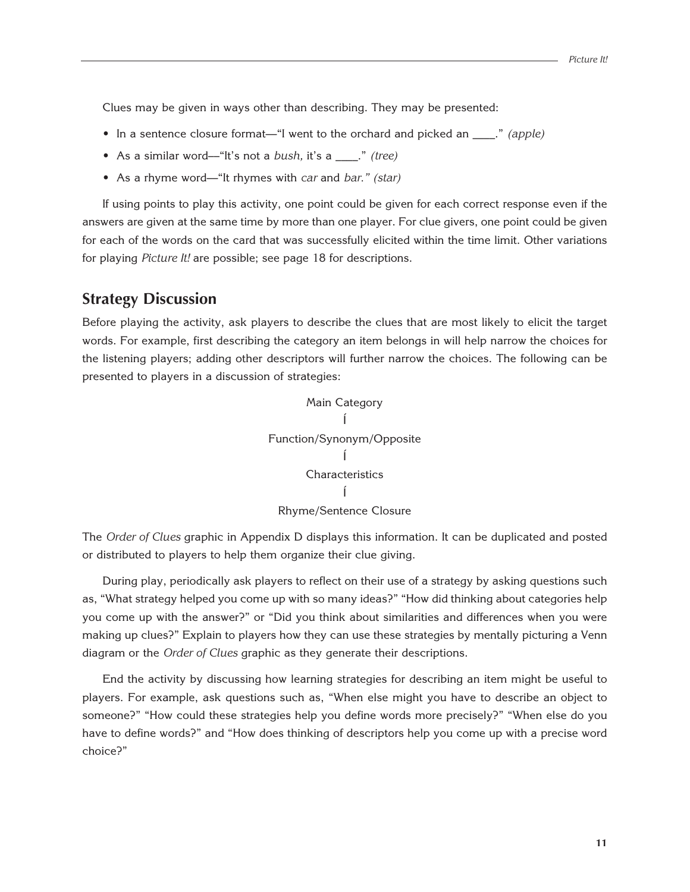Clues may be given in ways other than describing. They may be presented:

- In a sentence closure format—"I went to the orchard and picked an  $\therefore$  *(apple)*
- As a similar word––"It's not a *bush,* it's a \_\_\_\_." *(tree)*
- As a rhyme word––"It rhymes with *car* and *bar." (star)*

If using points to play this activity, one point could be given for each correct response even if the answers are given at the same time by more than one player. For clue givers, one point could be given for each of the words on the card that was successfully elicited within the time limit. Other variations for playing *Picture It!* are possible; see page 18 for descriptions.

# **Strategy Discussion**

Before playing the activity, ask players to describe the clues that are most likely to elicit the target words. For example, first describing the category an item belongs in will help narrow the choices for the listening players; adding other descriptors will further narrow the choices. The following can be presented to players in a discussion of strategies:



The *Order of Clues* graphic in Appendix D displays this information. It can be duplicated and posted or distributed to players to help them organize their clue giving.

During play, periodically ask players to reflect on their use of a strategy by asking questions such as, "What strategy helped you come up with so many ideas?" "How did thinking about categories help you come up with the answer?" or "Did you think about similarities and differences when you were making up clues?" Explain to players how they can use these strategies by mentally picturing a Venn diagram or the *Order of Clues* graphic as they generate their descriptions.

End the activity by discussing how learning strategies for describing an item might be useful to players. For example, ask questions such as, "When else might you have to describe an object to someone?" "How could these strategies help you define words more precisely?" "When else do you have to define words?" and "How does thinking of descriptors help you come up with a precise word choice?"